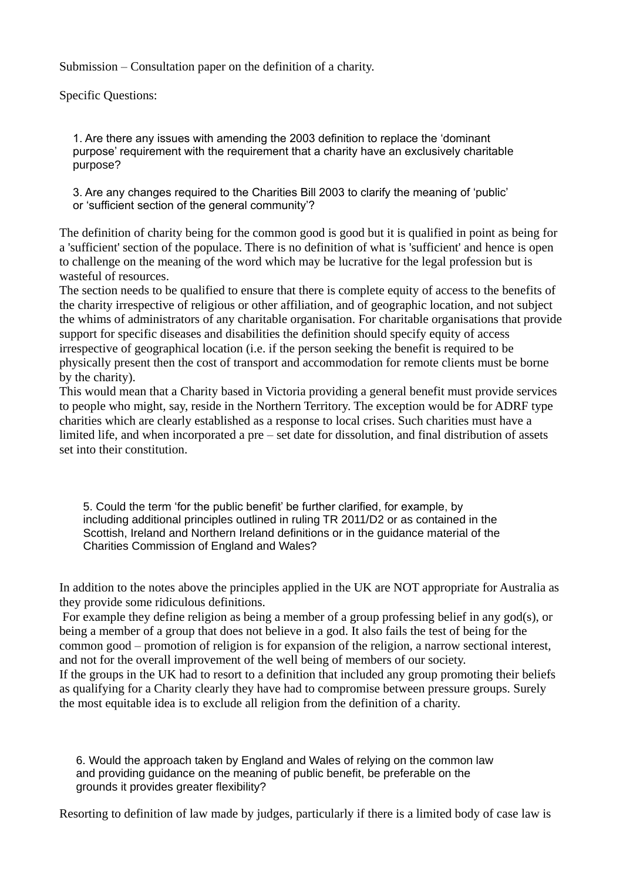Submission – Consultation paper on the definition of a charity.

Specific Questions:

1. Are there any issues with amending the 2003 definition to replace the 'dominant purpose' requirement with the requirement that a charity have an exclusively charitable purpose?

3. Are any changes required to the Charities Bill 2003 to clarify the meaning of 'public' or 'sufficient section of the general community'?

The definition of charity being for the common good is good but it is qualified in point as being for a 'sufficient' section of the populace. There is no definition of what is 'sufficient' and hence is open to challenge on the meaning of the word which may be lucrative for the legal profession but is wasteful of resources.

The section needs to be qualified to ensure that there is complete equity of access to the benefits of the charity irrespective of religious or other affiliation, and of geographic location, and not subject the whims of administrators of any charitable organisation. For charitable organisations that provide support for specific diseases and disabilities the definition should specify equity of access irrespective of geographical location (i.e. if the person seeking the benefit is required to be physically present then the cost of transport and accommodation for remote clients must be borne by the charity).

This would mean that a Charity based in Victoria providing a general benefit must provide services to people who might, say, reside in the Northern Territory. The exception would be for ADRF type charities which are clearly established as a response to local crises. Such charities must have a limited life, and when incorporated a pre – set date for dissolution, and final distribution of assets set into their constitution.

5. Could the term 'for the public benefit' be further clarified, for example, by including additional principles outlined in ruling TR 2011/D2 or as contained in the Scottish, Ireland and Northern Ireland definitions or in the guidance material of the Charities Commission of England and Wales?

In addition to the notes above the principles applied in the UK are NOT appropriate for Australia as they provide some ridiculous definitions.

For example they define religion as being a member of a group professing belief in any god(s), or being a member of a group that does not believe in a god. It also fails the test of being for the common good – promotion of religion is for expansion of the religion, a narrow sectional interest, and not for the overall improvement of the well being of members of our society.

If the groups in the UK had to resort to a definition that included any group promoting their beliefs as qualifying for a Charity clearly they have had to compromise between pressure groups. Surely the most equitable idea is to exclude all religion from the definition of a charity.

6. Would the approach taken by England and Wales of relying on the common law and providing guidance on the meaning of public benefit, be preferable on the grounds it provides greater flexibility?

Resorting to definition of law made by judges, particularly if there is a limited body of case law is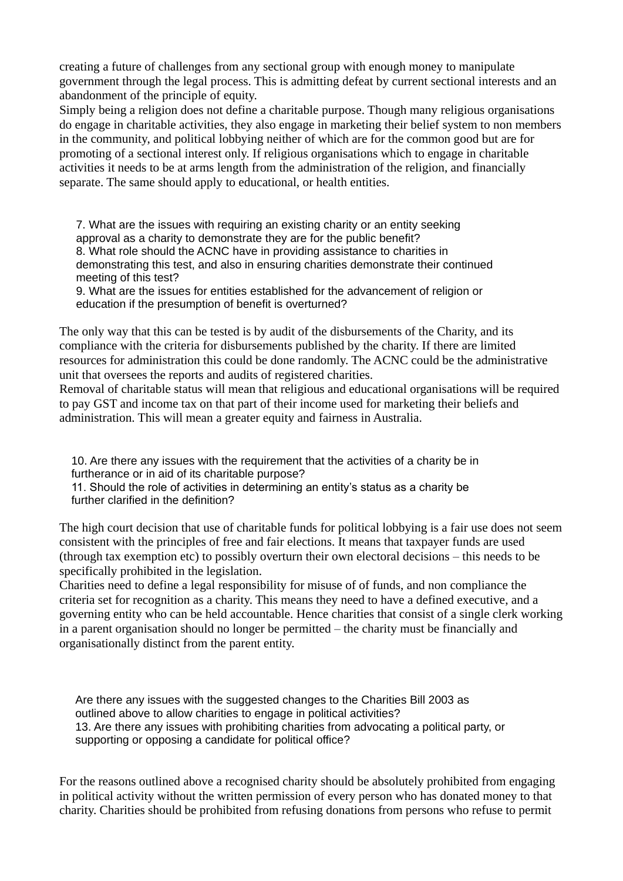creating a future of challenges from any sectional group with enough money to manipulate government through the legal process. This is admitting defeat by current sectional interests and an abandonment of the principle of equity.

Simply being a religion does not define a charitable purpose. Though many religious organisations do engage in charitable activities, they also engage in marketing their belief system to non members in the community, and political lobbying neither of which are for the common good but are for promoting of a sectional interest only. If religious organisations which to engage in charitable activities it needs to be at arms length from the administration of the religion, and financially separate. The same should apply to educational, or health entities.

7. What are the issues with requiring an existing charity or an entity seeking approval as a charity to demonstrate they are for the public benefit? 8. What role should the ACNC have in providing assistance to charities in demonstrating this test, and also in ensuring charities demonstrate their continued meeting of this test?

9. What are the issues for entities established for the advancement of religion or education if the presumption of benefit is overturned?

The only way that this can be tested is by audit of the disbursements of the Charity, and its compliance with the criteria for disbursements published by the charity. If there are limited resources for administration this could be done randomly. The ACNC could be the administrative unit that oversees the reports and audits of registered charities.

Removal of charitable status will mean that religious and educational organisations will be required to pay GST and income tax on that part of their income used for marketing their beliefs and administration. This will mean a greater equity and fairness in Australia.

10. Are there any issues with the requirement that the activities of a charity be in furtherance or in aid of its charitable purpose?

11. Should the role of activities in determining an entity's status as a charity be further clarified in the definition?

The high court decision that use of charitable funds for political lobbying is a fair use does not seem consistent with the principles of free and fair elections. It means that taxpayer funds are used (through tax exemption etc) to possibly overturn their own electoral decisions – this needs to be specifically prohibited in the legislation.

Charities need to define a legal responsibility for misuse of of funds, and non compliance the criteria set for recognition as a charity. This means they need to have a defined executive, and a governing entity who can be held accountable. Hence charities that consist of a single clerk working in a parent organisation should no longer be permitted – the charity must be financially and organisationally distinct from the parent entity.

Are there any issues with the suggested changes to the Charities Bill 2003 as outlined above to allow charities to engage in political activities? 13. Are there any issues with prohibiting charities from advocating a political party, or supporting or opposing a candidate for political office?

For the reasons outlined above a recognised charity should be absolutely prohibited from engaging in political activity without the written permission of every person who has donated money to that charity. Charities should be prohibited from refusing donations from persons who refuse to permit